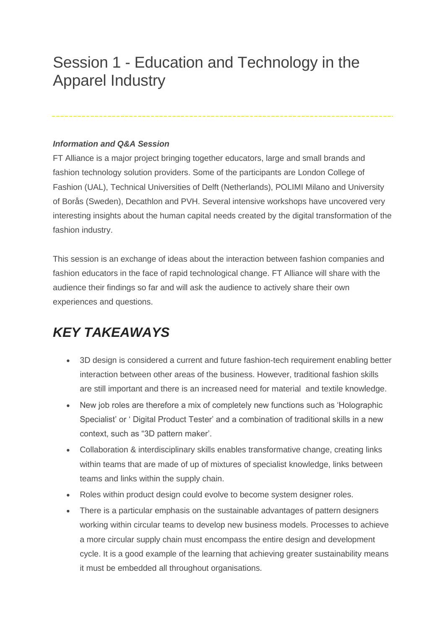## Session 1 - Education and Technology in the Apparel Industry

## *Information and Q&A Session*

FT Alliance is a major project bringing together educators, large and small brands and fashion technology solution providers. Some of the participants are London College of Fashion (UAL), Technical Universities of Delft (Netherlands), POLIMI Milano and University of Borås (Sweden), Decathlon and PVH. Several intensive workshops have uncovered very interesting insights about the human capital needs created by the digital transformation of the fashion industry.

This session is an exchange of ideas about the interaction between fashion companies and fashion educators in the face of rapid technological change. FT Alliance will share with the audience their findings so far and will ask the audience to actively share their own experiences and questions.

## *KEY TAKEAWAYS*

- 3D design is considered a current and future fashion-tech requirement enabling better interaction between other areas of the business. However, traditional fashion skills are still important and there is an increased need for material and textile knowledge.
- New job roles are therefore a mix of completely new functions such as 'Holographic Specialist' or ' Digital Product Tester' and a combination of traditional skills in a new context, such as "3D pattern maker'.
- Collaboration & interdisciplinary skills enables transformative change, creating links within teams that are made of up of mixtures of specialist knowledge, links between teams and links within the supply chain.
- Roles within product design could evolve to become system designer roles.
- There is a particular emphasis on the sustainable advantages of pattern designers working within circular teams to develop new business models. Processes to achieve a more circular supply chain must encompass the entire design and development cycle. It is a good example of the learning that achieving greater sustainability means it must be embedded all throughout organisations.